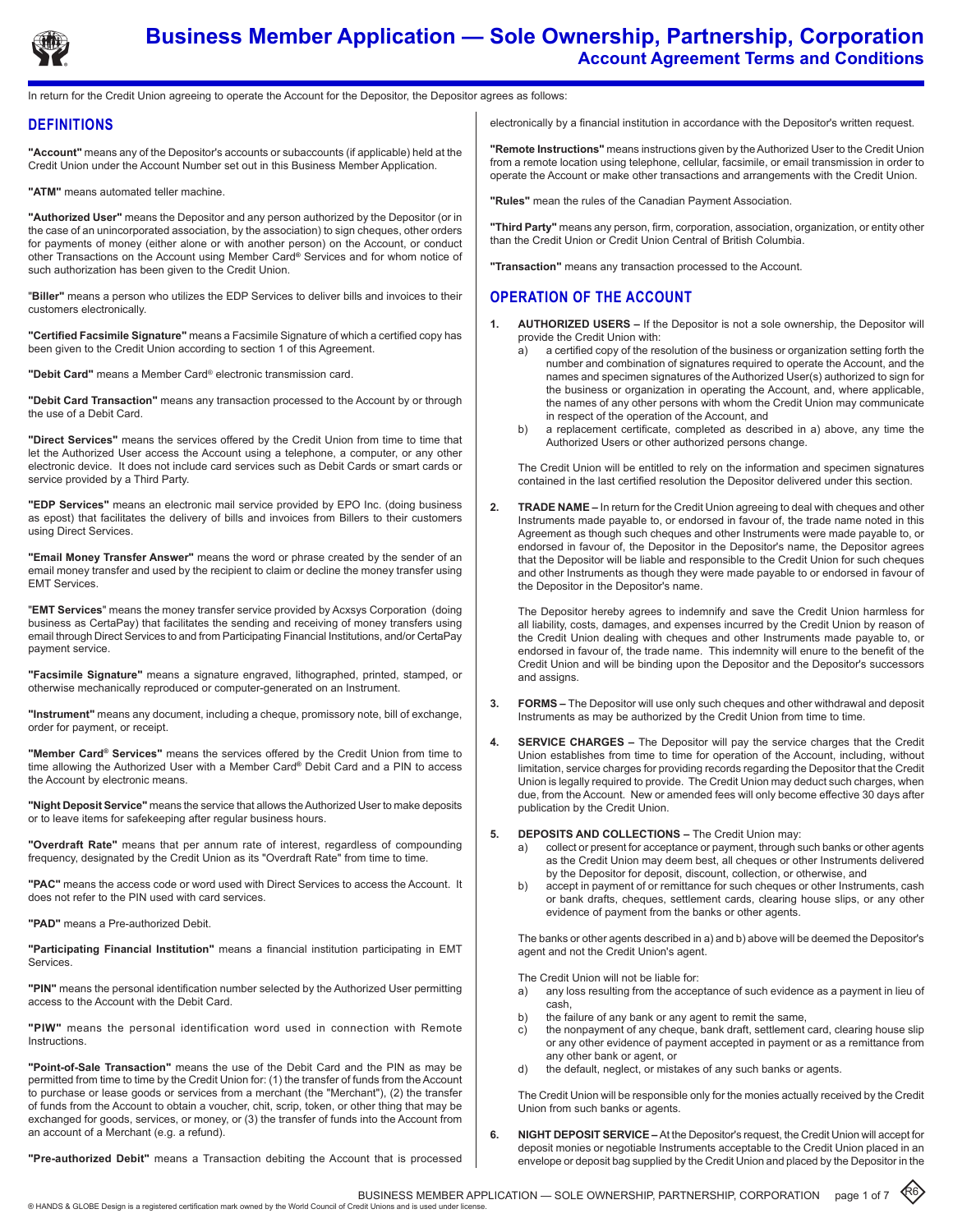

# **Business Member Application — Sole Ownership, Partnership, Corporation Account Agreement Terms and Conditions**

In return for the Credit Union agreeing to operate the Account for the Depositor, the Depositor agrees as follows:

## **DEFINITIONS**

**"Account"** means any of the Depositor's accounts or subaccounts (if applicable) held at the Credit Union under the Account Number set out in this Business Member Application.

**"ATM"** means automated teller machine.

**"Authorized User"** means the Depositor and any person authorized by the Depositor (or in the case of an unincorporated association, by the association) to sign cheques, other orders for payments of money (either alone or with another person) on the Account, or conduct other Transactions on the Account using Member Card**®** Services and for whom notice of such authorization has been given to the Credit Union.

"**Biller"** means a person who utilizes the EDP Services to deliver bills and invoices to their customers electronically.

**"Certified Facsimile Signature"** means a Facsimile Signature of which a certified copy has been given to the Credit Union according to section 1 of this Agreement.

**"Debit Card"** means a Member Card® electronic transmission card.

**"Debit Card Transaction"** means any transaction processed to the Account by or through the use of a Debit Card.

**"Direct Services"** means the services offered by the Credit Union from time to time that let the Authorized User access the Account using a telephone, a computer, or any other electronic device. It does not include card services such as Debit Cards or smart cards or service provided by a Third Party.

**"EDP Services"** means an electronic mail service provided by EPO Inc. (doing business as epost) that facilitates the delivery of bills and invoices from Billers to their customers using Direct Services.

**"Email Money Transfer Answer"** means the word or phrase created by the sender of an email money transfer and used by the recipient to claim or decline the money transfer using EMT Services.

"**EMT Services**" means the money transfer service provided by Acxsys Corporation (doing business as CertaPay) that facilitates the sending and receiving of money transfers using email through Direct Services to and from Participating Financial Institutions, and/or CertaPay payment service.

**"Facsimile Signature"** means a signature engraved, lithographed, printed, stamped, or otherwise mechanically reproduced or computer-generated on an Instrument.

**"Instrument"** means any document, including a cheque, promissory note, bill of exchange, order for payment, or receipt.

**"Member Card® Services"** means the services offered by the Credit Union from time to time allowing the Authorized User with a Member Card**®** Debit Card and a PIN to access the Account by electronic means.

**"Night Deposit Service"** means the service that allows the Authorized User to make deposits or to leave items for safekeeping after regular business hours.

**"Overdraft Rate"** means that per annum rate of interest, regardless of compounding frequency, designated by the Credit Union as its "Overdraft Rate" from time to time.

**"PAC"** means the access code or word used with Direct Services to access the Account. It does not refer to the PIN used with card services.

**"PAD"** means a Pre-authorized Debit.

**"Participating Financial Institution"** means a financial institution participating in EMT Services.

**"PIN"** means the personal identification number selected by the Authorized User permitting access to the Account with the Debit Card.

**"PIW"** means the personal identification word used in connection with Remote Instructions.

**"Point-of-Sale Transaction"** means the use of the Debit Card and the PIN as may be permitted from time to time by the Credit Union for: (1) the transfer of funds from the Account to purchase or lease goods or services from a merchant (the "Merchant"), (2) the transfer of funds from the Account to obtain a voucher, chit, scrip, token, or other thing that may be exchanged for goods, services, or money, or (3) the transfer of funds into the Account from an account of a Merchant (e.g. a refund).

**"Pre-authorized Debit"** means a Transaction debiting the Account that is processed

electronically by a financial institution in accordance with the Depositor's written request.

**"Remote Instructions"** means instructions given by the Authorized User to the Credit Union from a remote location using telephone, cellular, facsimile, or email transmission in order to operate the Account or make other transactions and arrangements with the Credit Union.

**"Rules"** mean the rules of the Canadian Payment Association.

**"Third Party"** means any person, firm, corporation, association, organization, or entity other than the Credit Union or Credit Union Central of British Columbia.

**"Transaction"** means any transaction processed to the Account.

## **Operation of the account**

- **1. AUTHORIZED USERS If the Depositor is not a sole ownership, the Depositor will** provide the Credit Union with:
	- a) a certified copy of the resolution of the business or organization setting forth the number and combination of signatures required to operate the Account, and the names and specimen signatures of the Authorized User(s) authorized to sign for the business or organization in operating the Account, and, where applicable, the names of any other persons with whom the Credit Union may communicate in respect of the operation of the Account, and
	- b) a replacement certificate, completed as described in a) above, any time the Authorized Users or other authorized persons change.

The Credit Union will be entitled to rely on the information and specimen signatures contained in the last certified resolution the Depositor delivered under this section.

**2. Trade Name –** In return for the Credit Union agreeing to deal with cheques and other Instruments made payable to, or endorsed in favour of, the trade name noted in this Agreement as though such cheques and other Instruments were made payable to, or endorsed in favour of, the Depositor in the Depositor's name, the Depositor agrees that the Depositor will be liable and responsible to the Credit Union for such cheques and other Instruments as though they were made payable to or endorsed in favour of the Depositor in the Depositor's name.

The Depositor hereby agrees to indemnify and save the Credit Union harmless for all liability, costs, damages, and expenses incurred by the Credit Union by reason of the Credit Union dealing with cheques and other Instruments made payable to, or endorsed in favour of, the trade name. This indemnity will enure to the benefit of the Credit Union and will be binding upon the Depositor and the Depositor's successors and assigns.

- **3. Forms** The Depositor will use only such cheques and other withdrawal and deposit Instruments as may be authorized by the Credit Union from time to time.
- **4. Service Charges** The Depositor will pay the service charges that the Credit Union establishes from time to time for operation of the Account, including, without limitation, service charges for providing records regarding the Depositor that the Credit Union is legally required to provide. The Credit Union may deduct such charges, when due, from the Account. New or amended fees will only become effective 30 days after publication by the Credit Union.
- **5. Deposits and Collections** The Credit Union may:
	- a) collect or present for acceptance or payment, through such banks or other agents as the Credit Union may deem best, all cheques or other Instruments delivered by the Depositor for deposit, discount, collection, or otherwise, and
	- b) accept in payment of or remittance for such cheques or other Instruments, cash or bank drafts, cheques, settlement cards, clearing house slips, or any other evidence of payment from the banks or other agents.

The banks or other agents described in a) and b) above will be deemed the Depositor's agent and not the Credit Union's agent.

The Credit Union will not be liable for:

- a) any loss resulting from the acceptance of such evidence as a payment in lieu of cash,
- b) the failure of any bank or any agent to remit the same,
- c) the nonpayment of any cheque, bank draft, settlement card, clearing house slip or any other evidence of payment accepted in payment or as a remittance from any other bank or agent, or
- d) the default, neglect, or mistakes of any such banks or agents.

The Credit Union will be responsible only for the monies actually received by the Credit Union from such banks or agents.

 $\langle 6 \rangle$ 

**6. Night Deposit Service –** At the Depositor's request, the Credit Union will accept for deposit monies or negotiable Instruments acceptable to the Credit Union placed in an envelope or deposit bag supplied by the Credit Union and placed by the Depositor in the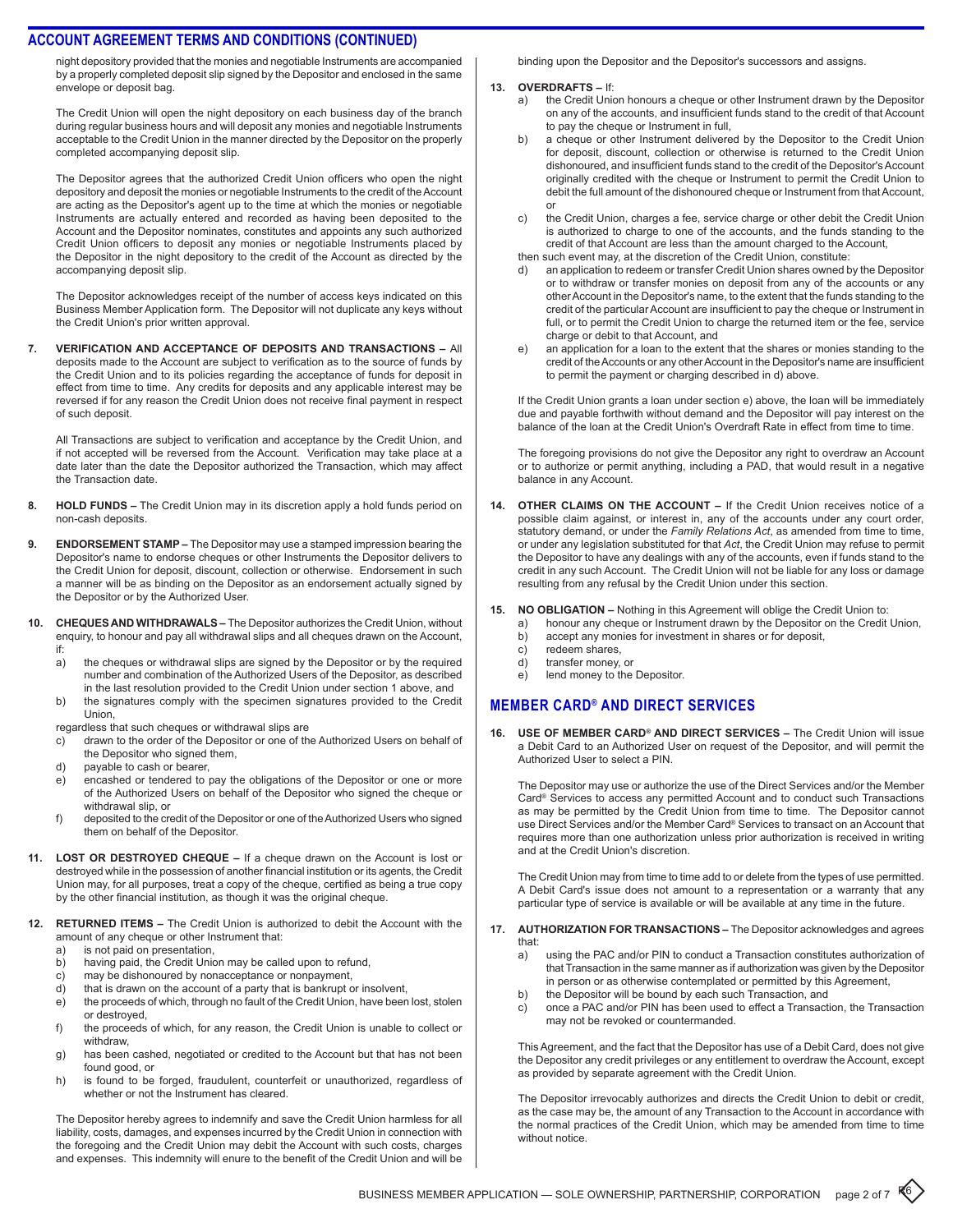night depository provided that the monies and negotiable Instruments are accompanied by a properly completed deposit slip signed by the Depositor and enclosed in the same envelope or deposit bag.

The Credit Union will open the night depository on each business day of the branch during regular business hours and will deposit any monies and negotiable Instruments acceptable to the Credit Union in the manner directed by the Depositor on the properly completed accompanying deposit slip.

The Depositor agrees that the authorized Credit Union officers who open the night depository and deposit the monies or negotiable Instruments to the credit of the Account are acting as the Depositor's agent up to the time at which the monies or negotiable Instruments are actually entered and recorded as having been deposited to the Account and the Depositor nominates, constitutes and appoints any such authorized Credit Union officers to deposit any monies or negotiable Instruments placed by the Depositor in the night depository to the credit of the Account as directed by the accompanying deposit slip.

The Depositor acknowledges receipt of the number of access keys indicated on this Business Member Application form. The Depositor will not duplicate any keys without the Credit Union's prior written approval.

**7. Verification and Acceptance of Deposits and Transactions –** All deposits made to the Account are subject to verification as to the source of funds by the Credit Union and to its policies regarding the acceptance of funds for deposit in effect from time to time. Any credits for deposits and any applicable interest may be reversed if for any reason the Credit Union does not receive final payment in respect of such deposit.

All Transactions are subject to verification and acceptance by the Credit Union, and if not accepted will be reversed from the Account. Verification may take place at a date later than the date the Depositor authorized the Transaction, which may affect the Transaction date.

- 8. **HOLD FUNDS –** The Credit Union may in its discretion apply a hold funds period on non-cash deposits.
- **9. ENDORSEMENT STAMP –** The Depositor may use a stamped impression bearing the Depositor's name to endorse cheques or other Instruments the Depositor delivers to the Credit Union for deposit, discount, collection or otherwise. Endorsement in such a manner will be as binding on the Depositor as an endorsement actually signed by the Depositor or by the Authorized User.
- **10. Cheques and Withdrawals** The Depositor authorizes the Credit Union, without enquiry, to honour and pay all withdrawal slips and all cheques drawn on the Account, if:
	- a) the cheques or withdrawal slips are signed by the Depositor or by the required number and combination of the Authorized Users of the Depositor, as described in the last resolution provided to the Credit Union under section 1 above, and
	- b) the signatures comply with the specimen signatures provided to the Credit Union,

regardless that such cheques or withdrawal slips are

- c) drawn to the order of the Depositor or one of the Authorized Users on behalf of the Depositor who signed them,
- d) payable to cash or bearer,
- e) encashed or tendered to pay the obligations of the Depositor or one or more of the Authorized Users on behalf of the Depositor who signed the cheque or withdrawal slip, or
- f) deposited to the credit of the Depositor or one of the Authorized Users who signed them on behalf of the Depositor.
- **11. Lost or Destroyed Cheque** If a cheque drawn on the Account is lost or destroyed while in the possession of another financial institution or its agents, the Credit Union may, for all purposes, treat a copy of the cheque, certified as being a true copy by the other financial institution, as though it was the original cheque.
- **12. RETURNED ITEMS The Credit Union is authorized to debit the Account with the** amount of any cheque or other Instrument that:
	- a) is not paid on presentation,
	- b) having paid, the Credit Union may be called upon to refund,
	- c) may be dishonoured by nonacceptance or nonpayment,<br>d) that is drawn on the account of a party that is bankrupt c
	- d) that is drawn on the account of a party that is bankrupt or insolvent,<br>e) the proceeds of which, through no fault of the Credit Union, have been
	- the proceeds of which, through no fault of the Credit Union, have been lost, stolen or destroyed,
	- f) the proceeds of which, for any reason, the Credit Union is unable to collect or withdraw,
	- g) has been cashed, negotiated or credited to the Account but that has not been found good, or
	- h) is found to be forged, fraudulent, counterfeit or unauthorized, regardless of whether or not the Instrument has cleared.

The Depositor hereby agrees to indemnify and save the Credit Union harmless for all liability, costs, damages, and expenses incurred by the Credit Union in connection with the foregoing and the Credit Union may debit the Account with such costs, charges and expenses. This indemnity will enure to the benefit of the Credit Union and will be

binding upon the Depositor and the Depositor's successors and assigns.

#### **13. Overdrafts –** If:

- a) the Credit Union honours a cheque or other Instrument drawn by the Depositor on any of the accounts, and insufficient funds stand to the credit of that Account to pay the cheque or Instrument in full,
- b) a cheque or other Instrument delivered by the Depositor to the Credit Union for deposit, discount, collection or otherwise is returned to the Credit Union dishonoured, and insufficient funds stand to the credit of the Depositor's Account originally credited with the cheque or Instrument to permit the Credit Union to debit the full amount of the dishonoured cheque or Instrument from that Account, or
- c) the Credit Union, charges a fee, service charge or other debit the Credit Union is authorized to charge to one of the accounts, and the funds standing to the credit of that Account are less than the amount charged to the Account, then such event may, at the discretion of the Credit Union, constitute:
- an application to redeem or transfer Credit Union shares owned by the Depositor or to withdraw or transfer monies on deposit from any of the accounts or any other Account in the Depositor's name, to the extent that the funds standing to the credit of the particular Account are insufficient to pay the cheque or Instrument in full, or to permit the Credit Union to charge the returned item or the fee, service
- charge or debit to that Account, and e) an application for a loan to the extent that the shares or monies standing to the credit of the Accounts or any other Account in the Depositor's name are insufficient to permit the payment or charging described in d) above.

If the Credit Union grants a loan under section e) above, the loan will be immediately due and payable forthwith without demand and the Depositor will pay interest on the balance of the loan at the Credit Union's Overdraft Rate in effect from time to time.

The foregoing provisions do not give the Depositor any right to overdraw an Account or to authorize or permit anything, including a PAD, that would result in a negative balance in any Account.

**14. Other Claims on the Account –** If the Credit Union receives notice of a possible claim against, or interest in, any of the accounts under any court order, statutory demand, or under the *Family Relations Act*, as amended from time to time, or under any legislation substituted for that *Act*, the Credit Union may refuse to permit the Depositor to have any dealings with any of the accounts, even if funds stand to the credit in any such Account. The Credit Union will not be liable for any loss or damage resulting from any refusal by the Credit Union under this section.

#### **15. No Obligation –** Nothing in this Agreement will oblige the Credit Union to:

- a) honour any cheque or Instrument drawn by the Depositor on the Credit Union,
- b) accept any monies for investment in shares or for deposit,
- c) redeem shares,
- d) transfer money, or
- e) lend money to the Depositor.

## **MEMBER Card® and direct services**

**16. Use of Member Card® and Direct Services –** The Credit Union will issue a Debit Card to an Authorized User on request of the Depositor, and will permit the Authorized User to select a PIN.

The Depositor may use or authorize the use of the Direct Services and/or the Member Card® Services to access any permitted Account and to conduct such Transactions as may be permitted by the Credit Union from time to time. The Depositor cannot use Direct Services and/or the Member Card® Services to transact on an Account that requires more than one authorization unless prior authorization is received in writing and at the Credit Union's discretion.

The Credit Union may from time to time add to or delete from the types of use permitted. A Debit Card's issue does not amount to a representation or a warranty that any particular type of service is available or will be available at any time in the future.

- **17. Authorization for Transactions** The Depositor acknowledges and agrees that:
	- a) using the PAC and/or PIN to conduct a Transaction constitutes authorization of that Transaction in the same manner as if authorization was given by the Depositor in person or as otherwise contemplated or permitted by this Agreement,
	- b) the Depositor will be bound by each such Transaction, and
	- c) once a PAC and/or PIN has been used to effect a Transaction, the Transaction may not be revoked or countermanded.

This Agreement, and the fact that the Depositor has use of a Debit Card, does not give the Depositor any credit privileges or any entitlement to overdraw the Account, except as provided by separate agreement with the Credit Union.

The Depositor irrevocably authorizes and directs the Credit Union to debit or credit, as the case may be, the amount of any Transaction to the Account in accordance with the normal practices of the Credit Union, which may be amended from time to time without notice.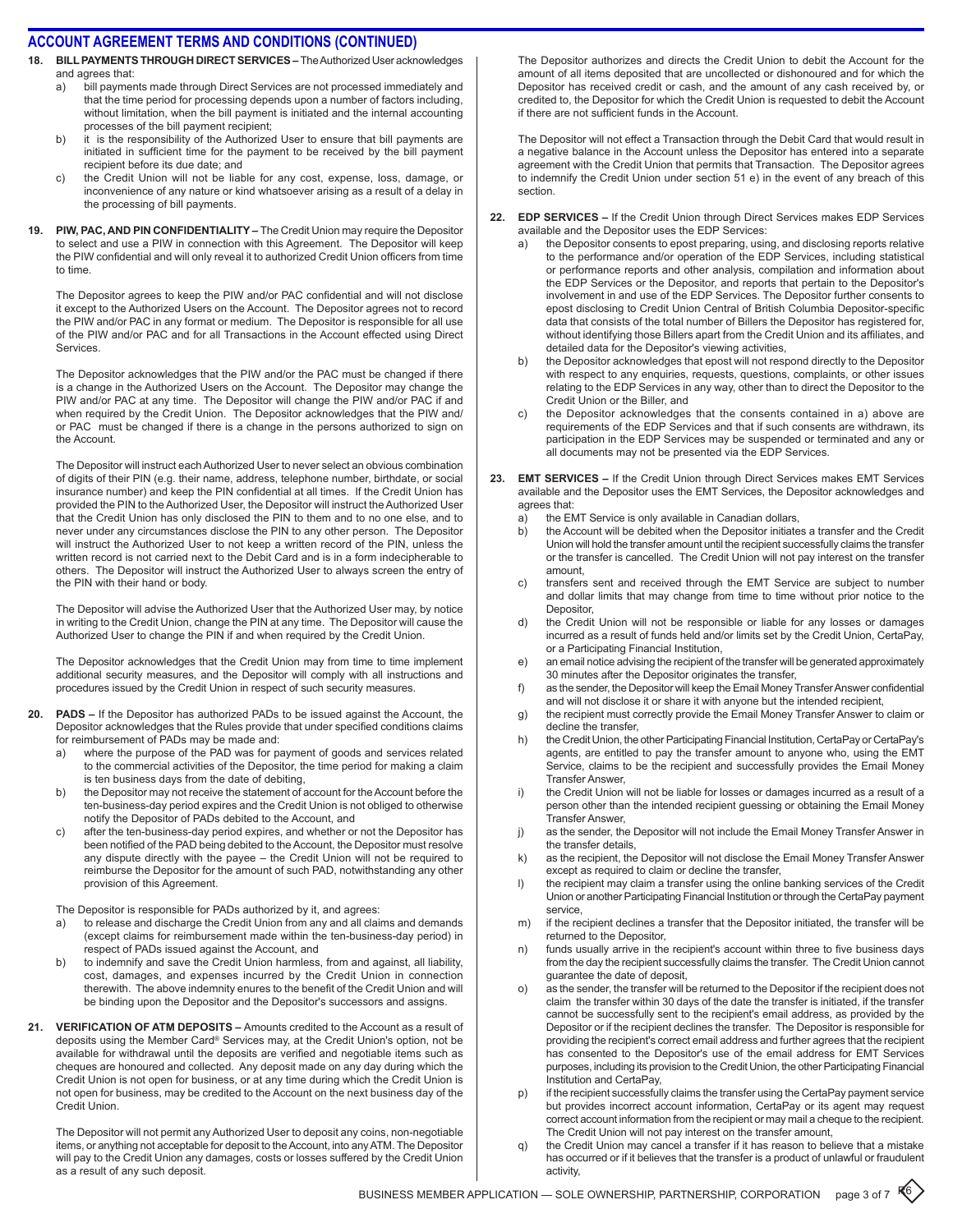- 18. **BILL PAYMENTS THROUGH DIRECT SERVICES –** The Authorized User acknowledges and agrees that:
	- a) bill payments made through Direct Services are not processed immediately and that the time period for processing depends upon a number of factors including, without limitation, when the bill payment is initiated and the internal accounting processes of the bill payment recipient;
	- b) it is the responsibility of the Authorized User to ensure that bill payments are initiated in sufficient time for the payment to be received by the bill payment recipient before its due date; and
	- c) the Credit Union will not be liable for any cost, expense, loss, damage, or inconvenience of any nature or kind whatsoever arising as a result of a delay in the processing of bill payments.
- **19. PIW, PAC, and PIN Confidentiality** The Credit Union may require the Depositor to select and use a PIW in connection with this Agreement. The Depositor will keep the PIW confidential and will only reveal it to authorized Credit Union officers from time to time.

The Depositor agrees to keep the PIW and/or PAC confidential and will not disclose it except to the Authorized Users on the Account. The Depositor agrees not to record the PIW and/or PAC in any format or medium. The Depositor is responsible for all use of the PIW and/or PAC and for all Transactions in the Account effected using Direct Services.

The Depositor acknowledges that the PIW and/or the PAC must be changed if there is a change in the Authorized Users on the Account. The Depositor may change the PIW and/or PAC at any time. The Depositor will change the PIW and/or PAC if and when required by the Credit Union. The Depositor acknowledges that the PIW and/ or PAC must be changed if there is a change in the persons authorized to sign on the Account.

The Depositor will instruct each Authorized User to never select an obvious combination of digits of their PIN (e.g. their name, address, telephone number, birthdate, or social insurance number) and keep the PIN confidential at all times. If the Credit Union has provided the PIN to the Authorized User, the Depositor will instruct the Authorized User that the Credit Union has only disclosed the PIN to them and to no one else, and to never under any circumstances disclose the PIN to any other person. The Depositor will instruct the Authorized User to not keep a written record of the PIN, unless the written record is not carried next to the Debit Card and is in a form indecipherable to others. The Depositor will instruct the Authorized User to always screen the entry of the PIN with their hand or body.

The Depositor will advise the Authorized User that the Authorized User may, by notice in writing to the Credit Union, change the PIN at any time. The Depositor will cause the Authorized User to change the PIN if and when required by the Credit Union.

The Depositor acknowledges that the Credit Union may from time to time implement additional security measures, and the Depositor will comply with all instructions and procedures issued by the Credit Union in respect of such security measures.

- **20. PADs** If the Depositor has authorized PADs to be issued against the Account, the Depositor acknowledges that the Rules provide that under specified conditions claims for reimbursement of PADs may be made and:
	- a) where the purpose of the PAD was for payment of goods and services related to the commercial activities of the Depositor, the time period for making a claim is ten business days from the date of debiting,
	- b) the Depositor may not receive the statement of account for the Account before the ten-business-day period expires and the Credit Union is not obliged to otherwise notify the Depositor of PADs debited to the Account, and
	- c) after the ten-business-day period expires, and whether or not the Depositor has been notified of the PAD being debited to the Account, the Depositor must resolve any dispute directly with the payee – the Credit Union will not be required to reimburse the Depositor for the amount of such PAD, notwithstanding any other provision of this Agreement.

The Depositor is responsible for PADs authorized by it, and agrees:

- a) to release and discharge the Credit Union from any and all claims and demands (except claims for reimbursement made within the ten-business-day period) in respect of PADs issued against the Account, and
- b) to indemnify and save the Credit Union harmless, from and against, all liability, cost, damages, and expenses incurred by the Credit Union in connection therewith. The above indemnity enures to the benefit of the Credit Union and will be binding upon the Depositor and the Depositor's successors and assigns.
- **21. Verification of ATM Deposits** Amounts credited to the Account as a result of deposits using the Member Card® Services may, at the Credit Union's option, not be available for withdrawal until the deposits are verified and negotiable items such as cheques are honoured and collected. Any deposit made on any day during which the Credit Union is not open for business, or at any time during which the Credit Union is not open for business, may be credited to the Account on the next business day of the Credit Union.

The Depositor will not permit any Authorized User to deposit any coins, non-negotiable items, or anything not acceptable for deposit to the Account, into any ATM. The Depositor will pay to the Credit Union any damages, costs or losses suffered by the Credit Union as a result of any such deposit.

The Depositor authorizes and directs the Credit Union to debit the Account for the amount of all items deposited that are uncollected or dishonoured and for which the Depositor has received credit or cash, and the amount of any cash received by, or credited to, the Depositor for which the Credit Union is requested to debit the Account if there are not sufficient funds in the Account.

The Depositor will not effect a Transaction through the Debit Card that would result in a negative balance in the Account unless the Depositor has entered into a separate agreement with the Credit Union that permits that Transaction. The Depositor agrees to indemnify the Credit Union under section 51 e) in the event of any breach of this section.

- **22. EDP Services** If the Credit Union through Direct Services makes EDP Services available and the Depositor uses the EDP Services:
	- a) the Depositor consents to epost preparing, using, and disclosing reports relative to the performance and/or operation of the EDP Services, including statistical or performance reports and other analysis, compilation and information about the EDP Services or the Depositor, and reports that pertain to the Depositor's involvement in and use of the EDP Services. The Depositor further consents to epost disclosing to Credit Union Central of British Columbia Depositor-specific data that consists of the total number of Billers the Depositor has registered for, without identifying those Billers apart from the Credit Union and its affiliates, and detailed data for the Depositor's viewing activities,
	- b) the Depositor acknowledges that epost will not respond directly to the Depositor with respect to any enquiries, requests, questions, complaints, or other issues relating to the EDP Services in any way, other than to direct the Depositor to the Credit Union or the Biller, and
	- the Depositor acknowledges that the consents contained in a) above are requirements of the EDP Services and that if such consents are withdrawn, its participation in the EDP Services may be suspended or terminated and any or all documents may not be presented via the EDP Services.
- **23. EMT Services** If the Credit Union through Direct Services makes EMT Services available and the Depositor uses the EMT Services, the Depositor acknowledges and agrees that:
	- a) the EMT Service is only available in Canadian dollars,
	- b) the Account will be debited when the Depositor initiates a transfer and the Credit Union will hold the transfer amount until the recipient successfully claims the transfer or the transfer is cancelled. The Credit Union will not pay interest on the transfer amount,
	- c) transfers sent and received through the EMT Service are subject to number and dollar limits that may change from time to time without prior notice to the Depositor,
	- d) the Credit Union will not be responsible or liable for any losses or damages incurred as a result of funds held and/or limits set by the Credit Union, CertaPay, or a Participating Financial Institution,
	- e) an email notice advising the recipient of the transfer will be generated approximately 30 minutes after the Depositor originates the transfer,
	- f) as the sender, the Depositor will keep the Email Money Transfer Answer confidential and will not disclose it or share it with anyone but the intended recipient,
	- g) the recipient must correctly provide the Email Money Transfer Answer to claim or decline the transfer,
	- h) the Credit Union, the other Participating Financial Institution, CertaPay or CertaPay's agents, are entitled to pay the transfer amount to anyone who, using the EMT Service, claims to be the recipient and successfully provides the Email Money Transfer Answer,
	- i) the Credit Union will not be liable for losses or damages incurred as a result of a person other than the intended recipient guessing or obtaining the Email Money Transfer Answer,
	- j) as the sender, the Depositor will not include the Email Money Transfer Answer in the transfer details,
	- k) as the recipient, the Depositor will not disclose the Email Money Transfer Answer except as required to claim or decline the transfer,
	- l) the recipient may claim a transfer using the online banking services of the Credit Union or another Participating Financial Institution or through the CertaPay payment service,
	- m) if the recipient declines a transfer that the Depositor initiated, the transfer will be returned to the Depositor,
	- n) funds usually arrive in the recipient's account within three to five business days from the day the recipient successfully claims the transfer. The Credit Union cannot guarantee the date of deposit,
	- o) as the sender, the transfer will be returned to the Depositor if the recipient does not claim the transfer within 30 days of the date the transfer is initiated, if the transfer cannot be successfully sent to the recipient's email address, as provided by the Depositor or if the recipient declines the transfer. The Depositor is responsible for providing the recipient's correct email address and further agrees that the recipient has consented to the Depositor's use of the email address for EMT Services purposes, including its provision to the Credit Union, the other Participating Financial Institution and CertaPay,
	- p) if the recipient successfully claims the transfer using the CertaPay payment service but provides incorrect account information, CertaPay or its agent may request correct account information from the recipient or may mail a cheque to the recipient. The Credit Union will not pay interest on the transfer amount,
	- q) the Credit Union may cancel a transfer if it has reason to believe that a mistake has occurred or if it believes that the transfer is a product of unlawful or fraudulent activity,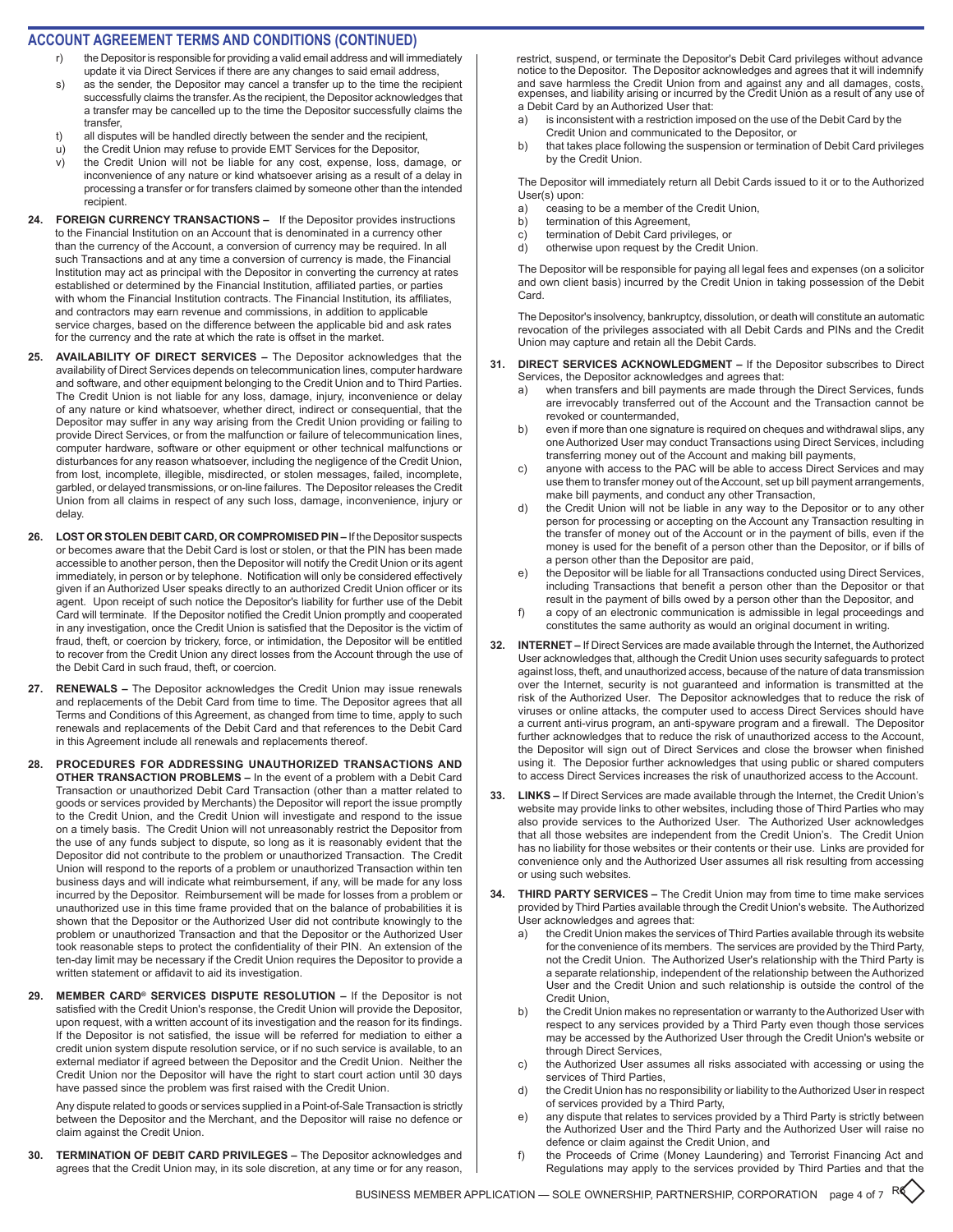### **ACCOUNT AGREEMENT TERMS AND CONDITIONS (CONTINUED)**

- the Depositor is responsible for providing a valid email address and will immediately update it via Direct Services if there are any changes to said email address,
- s) as the sender, the Depositor may cancel a transfer up to the time the recipient successfully claims the transfer. As the recipient, the Depositor acknowledges that a transfer may be cancelled up to the time the Depositor successfully claims the transfer,
- t) all disputes will be handled directly between the sender and the recipient,
- u) the Credit Union may refuse to provide EMT Services for the Depositor,
- v) the Credit Union will not be liable for any cost, expense, loss, damage, or inconvenience of any nature or kind whatsoever arising as a result of a delay in processing a transfer or for transfers claimed by someone other than the intended recipient.
- **24. FOREIGN CURRENCY TRANSACTIONS**  If the Depositor provides instructions to the Financial Institution on an Account that is denominated in a currency other than the currency of the Account, a conversion of currency may be required. In all such Transactions and at any time a conversion of currency is made, the Financial Institution may act as principal with the Depositor in converting the currency at rates established or determined by the Financial Institution, affiliated parties, or parties with whom the Financial Institution contracts. The Financial Institution, its affiliates, and contractors may earn revenue and commissions, in addition to applicable service charges, based on the difference between the applicable bid and ask rates for the currency and the rate at which the rate is offset in the market.
- **25. AVAILABILITY OF DIRECT SERVICES** The Depositor acknowledges that the availability of Direct Services depends on telecommunication lines, computer hardware and software, and other equipment belonging to the Credit Union and to Third Parties. The Credit Union is not liable for any loss, damage, injury, inconvenience or delay of any nature or kind whatsoever, whether direct, indirect or consequential, that the Depositor may suffer in any way arising from the Credit Union providing or failing to provide Direct Services, or from the malfunction or failure of telecommunication lines, computer hardware, software or other equipment or other technical malfunctions or disturbances for any reason whatsoever, including the negligence of the Credit Union, from lost, incomplete, illegible, misdirected, or stolen messages, failed, incomplete, garbled, or delayed transmissions, or on-line failures. The Depositor releases the Credit Union from all claims in respect of any such loss, damage, inconvenience, injury or delay.
- **26. LOST OR STOLEN DEBIT CARD, OR COMPROMISED PIN** If the Depositor suspects or becomes aware that the Debit Card is lost or stolen, or that the PIN has been made accessible to another person, then the Depositor will notify the Credit Union or its agent immediately, in person or by telephone. Notification will only be considered effectively given if an Authorized User speaks directly to an authorized Credit Union officer or its agent. Upon receipt of such notice the Depositor's liability for further use of the Debit Card will terminate. If the Depositor notified the Credit Union promptly and cooperated in any investigation, once the Credit Union is satisfied that the Depositor is the victim of fraud, theft, or coercion by trickery, force, or intimidation, the Depositor will be entitled to recover from the Credit Union any direct losses from the Account through the use of the Debit Card in such fraud, theft, or coercion.
- **27. RENEWALS** The Depositor acknowledges the Credit Union may issue renewals and replacements of the Debit Card from time to time. The Depositor agrees that all Terms and Conditions of this Agreement, as changed from time to time, apply to such renewals and replacements of the Debit Card and that references to the Debit Card in this Agreement include all renewals and replacements thereof.
- **28. PROCEDURES FOR ADDRESSING UNAUTHORIZED TRANSACTIONS AND OTHER TRANSACTION PROBLEMS –** In the event of a problem with a Debit Card Transaction or unauthorized Debit Card Transaction (other than a matter related to goods or services provided by Merchants) the Depositor will report the issue promptly to the Credit Union, and the Credit Union will investigate and respond to the issue on a timely basis. The Credit Union will not unreasonably restrict the Depositor from the use of any funds subject to dispute, so long as it is reasonably evident that the Depositor did not contribute to the problem or unauthorized Transaction. The Credit Union will respond to the reports of a problem or unauthorized Transaction within ten business days and will indicate what reimbursement, if any, will be made for any loss incurred by the Depositor. Reimbursement will be made for losses from a problem or unauthorized use in this time frame provided that on the balance of probabilities it is shown that the Depositor or the Authorized User did not contribute knowingly to the problem or unauthorized Transaction and that the Depositor or the Authorized User took reasonable steps to protect the confidentiality of their PIN. An extension of the ten-day limit may be necessary if the Credit Union requires the Depositor to provide a written statement or affidavit to aid its investigation.
- **29. MEMBER CARD® SERVICES DISPUTE RESOLUTION** If the Depositor is not satisfied with the Credit Union's response, the Credit Union will provide the Depositor, upon request, with a written account of its investigation and the reason for its findings. If the Depositor is not satisfied, the issue will be referred for mediation to either a credit union system dispute resolution service, or if no such service is available, to an external mediator if agreed between the Depositor and the Credit Union. Neither the Credit Union nor the Depositor will have the right to start court action until 30 days have passed since the problem was first raised with the Credit Union.

Any dispute related to goods or services supplied in a Point-of-Sale Transaction is strictly between the Depositor and the Merchant, and the Depositor will raise no defence or claim against the Credit Union.

**30. TERMINATION OF DEBIT CARD PRIVILEGES –** The Depositor acknowledges and agrees that the Credit Union may, in its sole discretion, at any time or for any reason, restrict, suspend, or terminate the Depositor's Debit Card privileges without advance notice to the Depositor. The Depositor acknowledges and agrees that it will indemnify and save harmless the Credit Union from and against any and all damages, costs, expenses, and liability arising or incurred by the Credit Union as a result of any use of a Debit Card by an Authorized User that:

- a) is inconsistent with a restriction imposed on the use of the Debit Card by the Credit Union and communicated to the Depositor, or
- b) that takes place following the suspension or termination of Debit Card privileges by the Credit Union.

The Depositor will immediately return all Debit Cards issued to it or to the Authorized User(s) upon:

- a) ceasing to be a member of the Credit Union,
- b) termination of this Agreement,
- c) termination of Debit Card privileges, or<br>d) otherwise upon request by the Credit U
- otherwise upon request by the Credit Union.

The Depositor will be responsible for paying all legal fees and expenses (on a solicitor and own client basis) incurred by the Credit Union in taking possession of the Debit Card.

The Depositor's insolvency, bankruptcy, dissolution, or death will constitute an automatic revocation of the privileges associated with all Debit Cards and PINs and the Credit Union may capture and retain all the Debit Cards.

- **31. DIRECT SERVICES ACKNOWLEDGMENT** If the Depositor subscribes to Direct Services, the Depositor acknowledges and agrees that:
	- a) when transfers and bill payments are made through the Direct Services, funds are irrevocably transferred out of the Account and the Transaction cannot be revoked or countermanded,
	- b) even if more than one signature is required on cheques and withdrawal slips, any one Authorized User may conduct Transactions using Direct Services, including transferring money out of the Account and making bill payments,
	- c) anyone with access to the PAC will be able to access Direct Services and may use them to transfer money out of the Account, set up bill payment arrangements, make bill payments, and conduct any other Transaction,
	- d) the Credit Union will not be liable in any way to the Depositor or to any other person for processing or accepting on the Account any Transaction resulting in the transfer of money out of the Account or in the payment of bills, even if the money is used for the benefit of a person other than the Depositor, or if bills of a person other than the Depositor are paid,
	- the Depositor will be liable for all Transactions conducted using Direct Services, including Transactions that benefit a person other than the Depositor or that result in the payment of bills owed by a person other than the Depositor, and
	- f) a copy of an electronic communication is admissible in legal proceedings and constitutes the same authority as would an original document in writing.
- **32. INTERNET** If Direct Services are made available through the Internet, the Authorized User acknowledges that, although the Credit Union uses security safeguards to protect against loss, theft, and unauthorized access, because of the nature of data transmission over the Internet, security is not guaranteed and information is transmitted at the risk of the Authorized User. The Depositor acknowledges that to reduce the risk of viruses or online attacks, the computer used to access Direct Services should have a current anti-virus program, an anti-spyware program and a firewall. The Depositor further acknowledges that to reduce the risk of unauthorized access to the Account, the Depositor will sign out of Direct Services and close the browser when finished using it. The Deposior further acknowledges that using public or shared computers to access Direct Services increases the risk of unauthorized access to the Account.
- **33. LINKS** If Direct Services are made available through the Internet, the Credit Union's website may provide links to other websites, including those of Third Parties who may also provide services to the Authorized User. The Authorized User acknowledges that all those websites are independent from the Credit Union's. The Credit Union has no liability for those websites or their contents or their use. Links are provided for convenience only and the Authorized User assumes all risk resulting from accessing or using such websites.
- **34. THIRD PARTY SERVICES** The Credit Union may from time to time make services provided by Third Parties available through the Credit Union's website. The Authorized User acknowledges and agrees that:
	- a) the Credit Union makes the services of Third Parties available through its website for the convenience of its members. The services are provided by the Third Party, not the Credit Union. The Authorized User's relationship with the Third Party is a separate relationship, independent of the relationship between the Authorized User and the Credit Union and such relationship is outside the control of the Credit Union,
	- b) the Credit Union makes no representation or warranty to the Authorized User with respect to any services provided by a Third Party even though those services may be accessed by the Authorized User through the Credit Union's website or through Direct Services,
	- c) the Authorized User assumes all risks associated with accessing or using the services of Third Parties,
	- d) the Credit Union has no responsibility or liability to the Authorized User in respect of services provided by a Third Party,
	- e) any dispute that relates to services provided by a Third Party is strictly between the Authorized User and the Third Party and the Authorized User will raise no defence or claim against the Credit Union, and
	- f) the Proceeds of Crime (Money Laundering) and Terrorist Financing Act and Regulations may apply to the services provided by Third Parties and that the

BUSINESS MEMBER APPLICATION — SOLE OWNERSHIP, PARTNERSHIP, CORPORATION page 4 of 7 R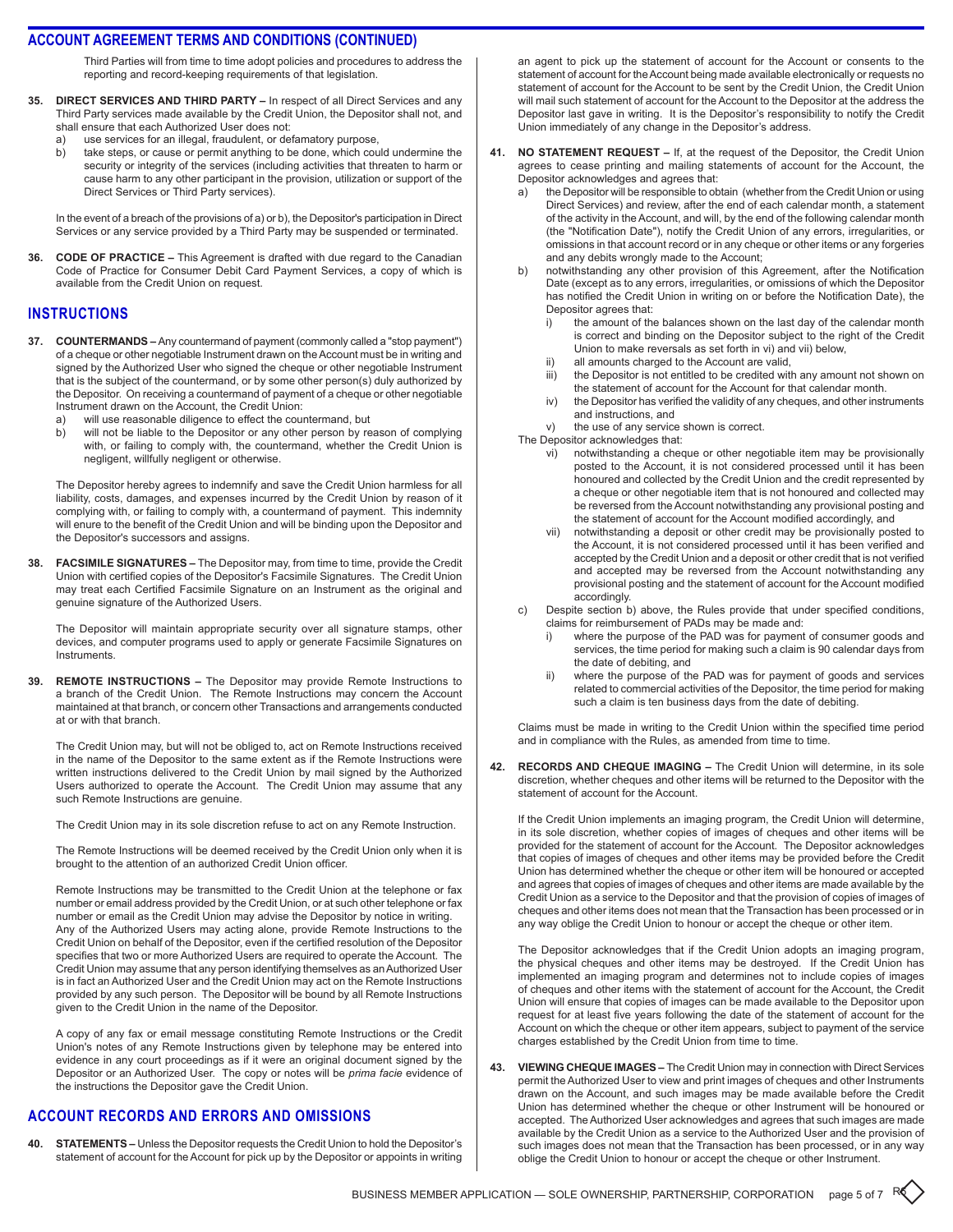Third Parties will from time to time adopt policies and procedures to address the reporting and record-keeping requirements of that legislation.

- **35. Direct Services and Third Party** In respect of all Direct Services and any Third Party services made available by the Credit Union, the Depositor shall not, and shall ensure that each Authorized User does not:
	- a) use services for an illegal, fraudulent, or defamatory purpose,<br>b) take steps, or cause or permit anything to be done, which cou
	- take steps, or cause or permit anything to be done, which could undermine the security or integrity of the services (including activities that threaten to harm or cause harm to any other participant in the provision, utilization or support of the Direct Services or Third Party services).

In the event of a breach of the provisions of a) or b), the Depositor's participation in Direct Services or any service provided by a Third Party may be suspended or terminated.

**36. Code of Practice –** This Agreement is drafted with due regard to the Canadian Code of Practice for Consumer Debit Card Payment Services, a copy of which is available from the Credit Union on request.

## **instructions**

- **37. Countermands** Any countermand of payment (commonly called a "stop payment") of a cheque or other negotiable Instrument drawn on the Account must be in writing and signed by the Authorized User who signed the cheque or other negotiable Instrument that is the subject of the countermand, or by some other person(s) duly authorized by the Depositor. On receiving a countermand of payment of a cheque or other negotiable Instrument drawn on the Account, the Credit Union:
	- a) will use reasonable diligence to effect the countermand, but
	- b) will not be liable to the Depositor or any other person by reason of complying with, or failing to comply with, the countermand, whether the Credit Union is negligent, willfully negligent or otherwise.

The Depositor hereby agrees to indemnify and save the Credit Union harmless for all liability, costs, damages, and expenses incurred by the Credit Union by reason of it complying with, or failing to comply with, a countermand of payment. This indemnity will enure to the benefit of the Credit Union and will be binding upon the Depositor and the Depositor's successors and assigns.

**38. Facsimile Signatures –** The Depositor may, from time to time, provide the Credit Union with certified copies of the Depositor's Facsimile Signatures. The Credit Union may treat each Certified Facsimile Signature on an Instrument as the original and genuine signature of the Authorized Users.

The Depositor will maintain appropriate security over all signature stamps, other devices, and computer programs used to apply or generate Facsimile Signatures on **Instruments** 

**39. Remote Instructions –** The Depositor may provide Remote Instructions to a branch of the Credit Union. The Remote Instructions may concern the Account maintained at that branch, or concern other Transactions and arrangements conducted at or with that branch.

The Credit Union may, but will not be obliged to, act on Remote Instructions received in the name of the Depositor to the same extent as if the Remote Instructions were written instructions delivered to the Credit Union by mail signed by the Authorized Users authorized to operate the Account. The Credit Union may assume that any such Remote Instructions are genuine.

The Credit Union may in its sole discretion refuse to act on any Remote Instruction.

The Remote Instructions will be deemed received by the Credit Union only when it is brought to the attention of an authorized Credit Union officer.

Remote Instructions may be transmitted to the Credit Union at the telephone or fax number or email address provided by the Credit Union, or at such other telephone or fax number or email as the Credit Union may advise the Depositor by notice in writing. Any of the Authorized Users may acting alone, provide Remote Instructions to the Credit Union on behalf of the Depositor, even if the certified resolution of the Depositor specifies that two or more Authorized Users are required to operate the Account. The Credit Union may assume that any person identifying themselves as an Authorized User is in fact an Authorized User and the Credit Union may act on the Remote Instructions provided by any such person. The Depositor will be bound by all Remote Instructions given to the Credit Union in the name of the Depositor.

A copy of any fax or email message constituting Remote Instructions or the Credit Union's notes of any Remote Instructions given by telephone may be entered into evidence in any court proceedings as if it were an original document signed by the Depositor or an Authorized User. The copy or notes will be *prima facie* evidence of the instructions the Depositor gave the Credit Union.

## **account records and errors and omissions**

**40. Statements –** Unless the Depositor requests the Credit Union to hold the Depositor's statement of account for the Account for pick up by the Depositor or appoints in writing an agent to pick up the statement of account for the Account or consents to the statement of account for the Account being made available electronically or requests no statement of account for the Account to be sent by the Credit Union, the Credit Union will mail such statement of account for the Account to the Depositor at the address the Depositor last gave in writing. It is the Depositor's responsibility to notify the Credit Union immediately of any change in the Depositor's address.

- **41. No Statement Request** If, at the request of the Depositor, the Credit Union agrees to cease printing and mailing statements of account for the Account, the Depositor acknowledges and agrees that:
	- the Depositor will be responsible to obtain (whether from the Credit Union or using Direct Services) and review, after the end of each calendar month, a statement of the activity in the Account, and will, by the end of the following calendar month (the "Notification Date"), notify the Credit Union of any errors, irregularities, or omissions in that account record or in any cheque or other items or any forgeries and any debits wrongly made to the Account;
	- b) notwithstanding any other provision of this Agreement, after the Notification Date (except as to any errors, irregularities, or omissions of which the Depositor has notified the Credit Union in writing on or before the Notification Date), the Depositor agrees that:
		- i) the amount of the balances shown on the last day of the calendar month is correct and binding on the Depositor subject to the right of the Credit Union to make reversals as set forth in vi) and vii) below,
		- ii) all amounts charged to the Account are valid,
		- iii) the Depositor is not entitled to be credited with any amount not shown on the statement of account for the Account for that calendar month.
		- iv) the Depositor has verified the validity of any cheques, and other instruments and instructions, and
		- v) the use of any service shown is correct.

The Depositor acknowledges that:

- vi) notwithstanding a cheque or other negotiable item may be provisionally posted to the Account, it is not considered processed until it has been honoured and collected by the Credit Union and the credit represented by a cheque or other negotiable item that is not honoured and collected may be reversed from the Account notwithstanding any provisional posting and the statement of account for the Account modified accordingly, and
- vii) notwithstanding a deposit or other credit may be provisionally posted to the Account, it is not considered processed until it has been verified and accepted by the Credit Union and a deposit or other credit that is not verified and accepted may be reversed from the Account notwithstanding any provisional posting and the statement of account for the Account modified accordingly.
- c) Despite section b) above, the Rules provide that under specified conditions, claims for reimbursement of PADs may be made and:
	- i) where the purpose of the PAD was for payment of consumer goods and services, the time period for making such a claim is 90 calendar days from the date of debiting, and
	- ii) where the purpose of the PAD was for payment of goods and services related to commercial activities of the Depositor, the time period for making such a claim is ten business days from the date of debiting.

Claims must be made in writing to the Credit Union within the specified time period and in compliance with the Rules, as amended from time to time.

**42. Records and Cheque Imaging –** The Credit Union will determine, in its sole discretion, whether cheques and other items will be returned to the Depositor with the statement of account for the Account.

If the Credit Union implements an imaging program, the Credit Union will determine, in its sole discretion, whether copies of images of cheques and other items will be provided for the statement of account for the Account. The Depositor acknowledges that copies of images of cheques and other items may be provided before the Credit Union has determined whether the cheque or other item will be honoured or accepted and agrees that copies of images of cheques and other items are made available by the Credit Union as a service to the Depositor and that the provision of copies of images of cheques and other items does not mean that the Transaction has been processed or in any way oblige the Credit Union to honour or accept the cheque or other item.

The Depositor acknowledges that if the Credit Union adopts an imaging program, the physical cheques and other items may be destroyed. If the Credit Union has implemented an imaging program and determines not to include copies of images of cheques and other items with the statement of account for the Account, the Credit Union will ensure that copies of images can be made available to the Depositor upon request for at least five years following the date of the statement of account for the Account on which the cheque or other item appears, subject to payment of the service charges established by the Credit Union from time to time.

**43. Viewing Cheque Images –** The Credit Union may in connection with Direct Services permit the Authorized User to view and print images of cheques and other Instruments drawn on the Account, and such images may be made available before the Credit Union has determined whether the cheque or other Instrument will be honoured or accepted. The Authorized User acknowledges and agrees that such images are made available by the Credit Union as a service to the Authorized User and the provision of such images does not mean that the Transaction has been processed, or in any way oblige the Credit Union to honour or accept the cheque or other Instrument.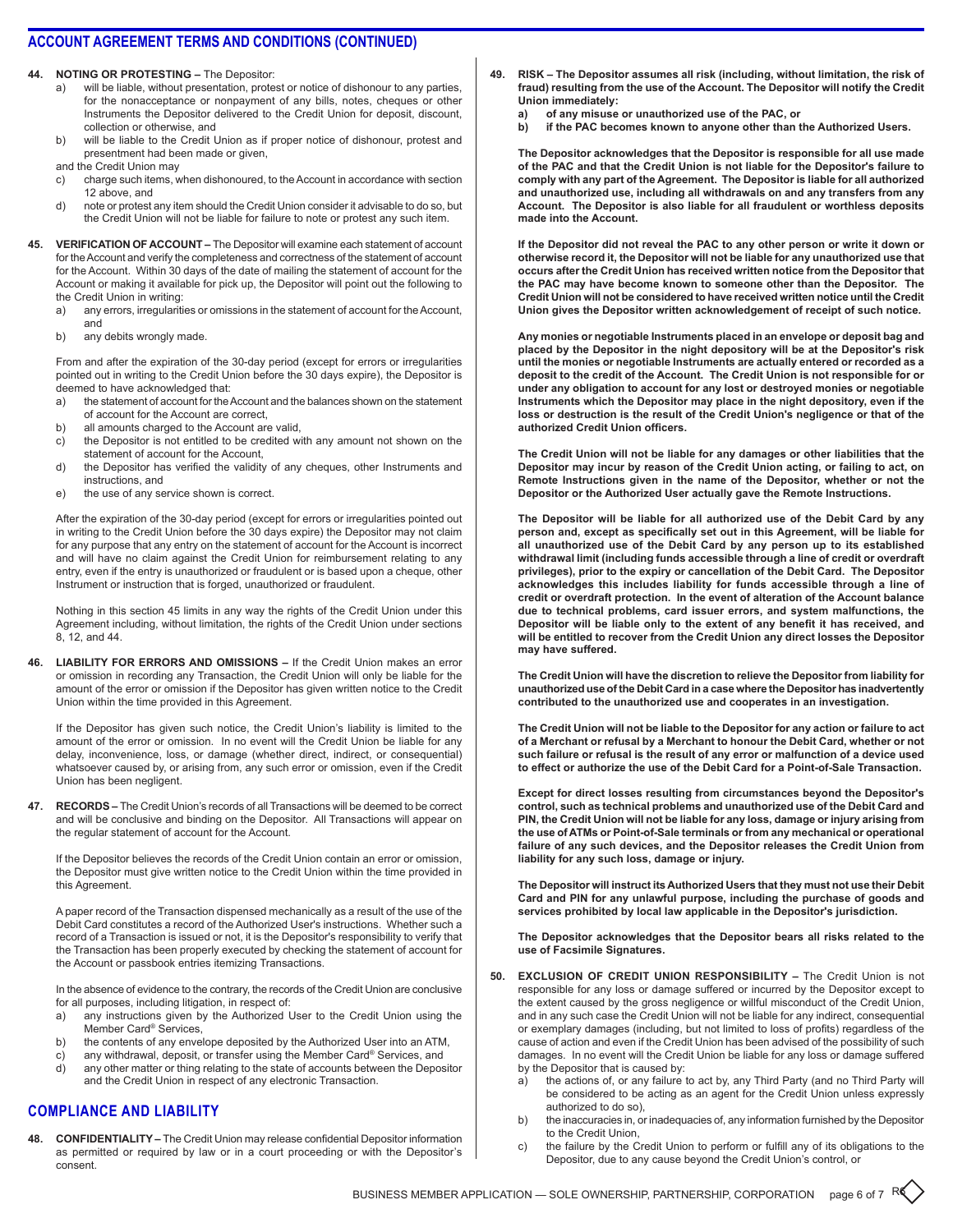**44. Noting or Protesting –** The Depositor:

- a) will be liable, without presentation, protest or notice of dishonour to any parties, for the nonacceptance or nonpayment of any bills, notes, cheques or other Instruments the Depositor delivered to the Credit Union for deposit, discount, collection or otherwise, and
- b) will be liable to the Credit Union as if proper notice of dishonour, protest and presentment had been made or given,

and the Credit Union may

- c) charge such items, when dishonoured, to the Account in accordance with section 12 above, and
- d) note or protest any item should the Credit Union consider it advisable to do so, but the Credit Union will not be liable for failure to note or protest any such item.
- **45. Verification of Account** The Depositor will examine each statement of account for the Account and verify the completeness and correctness of the statement of account for the Account. Within 30 days of the date of mailing the statement of account for the Account or making it available for pick up, the Depositor will point out the following to the Credit Union in writing:
	- a) any errors, irregularities or omissions in the statement of account for the Account, and
	- b) any debits wrongly made.

From and after the expiration of the 30-day period (except for errors or irregularities pointed out in writing to the Credit Union before the 30 days expire), the Depositor is deemed to have acknowledged that:

- a) the statement of account for the Account and the balances shown on the statement of account for the Account are correct,
- b) all amounts charged to the Account are valid,
- c) the Depositor is not entitled to be credited with any amount not shown on the statement of account for the Account,
- d) the Depositor has verified the validity of any cheques, other Instruments and instructions, and
- e) the use of any service shown is correct.

After the expiration of the 30-day period (except for errors or irregularities pointed out in writing to the Credit Union before the 30 days expire) the Depositor may not claim for any purpose that any entry on the statement of account for the Account is incorrect and will have no claim against the Credit Union for reimbursement relating to any entry, even if the entry is unauthorized or fraudulent or is based upon a cheque, other Instrument or instruction that is forged, unauthorized or fraudulent.

Nothing in this section 45 limits in any way the rights of the Credit Union under this Agreement including, without limitation, the rights of the Credit Union under sections 8, 12, and 44.

**46. Liability for Errors and Omissions –** If the Credit Union makes an error or omission in recording any Transaction, the Credit Union will only be liable for the amount of the error or omission if the Depositor has given written notice to the Credit Union within the time provided in this Agreement.

If the Depositor has given such notice, the Credit Union's liability is limited to the amount of the error or omission. In no event will the Credit Union be liable for any delay, inconvenience, loss, or damage (whether direct, indirect, or consequential) whatsoever caused by, or arising from, any such error or omission, even if the Credit Union has been negligent.

**47. Records –** The Credit Union's records of all Transactions will be deemed to be correct and will be conclusive and binding on the Depositor. All Transactions will appear on the regular statement of account for the Account.

If the Depositor believes the records of the Credit Union contain an error or omission, the Depositor must give written notice to the Credit Union within the time provided in this Agreement.

A paper record of the Transaction dispensed mechanically as a result of the use of the Debit Card constitutes a record of the Authorized User's instructions. Whether such a record of a Transaction is issued or not, it is the Depositor's responsibility to verify that the Transaction has been properly executed by checking the statement of account for the Account or passbook entries itemizing Transactions.

In the absence of evidence to the contrary, the records of the Credit Union are conclusive for all purposes, including litigation, in respect of:

- a) any instructions given by the Authorized User to the Credit Union using the Member Card® Services,
- b) the contents of any envelope deposited by the Authorized User into an ATM,
- c) any withdrawal, deposit, or transfer using the Member Card® Services, and
- d) any other matter or thing relating to the state of accounts between the Depositor and the Credit Union in respect of any electronic Transaction.

## **compliance anD liability**

**48. Confidentiality –** The Credit Union may release confidential Depositor information as permitted or required by law or in a court proceeding or with the Depositor's consent.

- **49. Risk The Depositor assumes all risk (including, without limitation, the risk of fraud) resulting from the use of the Account. The Depositor will notify the Credit Union immediately:**
	- **a) of any misuse or unauthorized use of the PAC, or**
	- **b) if the PAC becomes known to anyone other than the Authorized Users.**

**The Depositor acknowledges that the Depositor is responsible for all use made of the PAC and that the Credit Union is not liable for the Depositor's failure to comply with any part of the Agreement. The Depositor is liable for all authorized and unauthorized use, including all withdrawals on and any transfers from any Account. The Depositor is also liable for all fraudulent or worthless deposits made into the Account.**

**If the Depositor did not reveal the PAC to any other person or write it down or otherwise record it, the Depositor will not be liable for any unauthorized use that occurs after the Credit Union has received written notice from the Depositor that the PAC may have become known to someone other than the Depositor. The Credit Union will not be considered to have received written notice until the Credit Union gives the Depositor written acknowledgement of receipt of such notice.**

**Any monies or negotiable Instruments placed in an envelope or deposit bag and placed by the Depositor in the night depository will be at the Depositor's risk until the monies or negotiable Instruments are actually entered or recorded as a deposit to the credit of the Account. The Credit Union is not responsible for or under any obligation to account for any lost or destroyed monies or negotiable Instruments which the Depositor may place in the night depository, even if the loss or destruction is the result of the Credit Union's negligence or that of the authorized Credit Union officers.**

**The Credit Union will not be liable for any damages or other liabilities that the Depositor may incur by reason of the Credit Union acting, or failing to act, on Remote Instructions given in the name of the Depositor, whether or not the Depositor or the Authorized User actually gave the Remote Instructions.**

**The Depositor will be liable for all authorized use of the Debit Card by any person and, except as specifically set out in this Agreement, will be liable for all unauthorized use of the Debit Card by any person up to its established withdrawal limit (including funds accessible through a line of credit or overdraft privileges), prior to the expiry or cancellation of the Debit Card. The Depositor acknowledges this includes liability for funds accessible through a line of credit or overdraft protection. In the event of alteration of the Account balance due to technical problems, card issuer errors, and system malfunctions, the Depositor will be liable only to the extent of any benefit it has received, and will be entitled to recover from the Credit Union any direct losses the Depositor may have suffered.**

**The Credit Union will have the discretion to relieve the Depositor from liability for unauthorized use of the Debit Card in a case where the Depositor has inadvertently contributed to the unauthorized use and cooperates in an investigation.**

**The Credit Union will not be liable to the Depositor for any action or failure to act of a Merchant or refusal by a Merchant to honour the Debit Card, whether or not such failure or refusal is the result of any error or malfunction of a device used to effect or authorize the use of the Debit Card for a Point-of-Sale Transaction.**

**Except for direct losses resulting from circumstances beyond the Depositor's control, such as technical problems and unauthorized use of the Debit Card and PIN, the Credit Union will not be liable for any loss, damage or injury arising from the use of ATMs or Point-of-Sale terminals or from any mechanical or operational failure of any such devices, and the Depositor releases the Credit Union from liability for any such loss, damage or injury.**

**The Depositor will instruct its Authorized Users that they must not use their Debit Card and PIN for any unlawful purpose, including the purchase of goods and services prohibited by local law applicable in the Depositor's jurisdiction.**

**The Depositor acknowledges that the Depositor bears all risks related to the use of Facsimile Signatures.**

- **50. Exclusion of Credit Union Responsibility** The Credit Union is not responsible for any loss or damage suffered or incurred by the Depositor except to the extent caused by the gross negligence or willful misconduct of the Credit Union, and in any such case the Credit Union will not be liable for any indirect, consequential or exemplary damages (including, but not limited to loss of profits) regardless of the cause of action and even if the Credit Union has been advised of the possibility of such damages. In no event will the Credit Union be liable for any loss or damage suffered by the Depositor that is caused by:
	- a) the actions of, or any failure to act by, any Third Party (and no Third Party will be considered to be acting as an agent for the Credit Union unless expressly authorized to do so),
	- b) the inaccuracies in, or inadequacies of, any information furnished by the Depositor to the Credit Union,
	- c) the failure by the Credit Union to perform or fulfill any of its obligations to the Depositor, due to any cause beyond the Credit Union's control, or